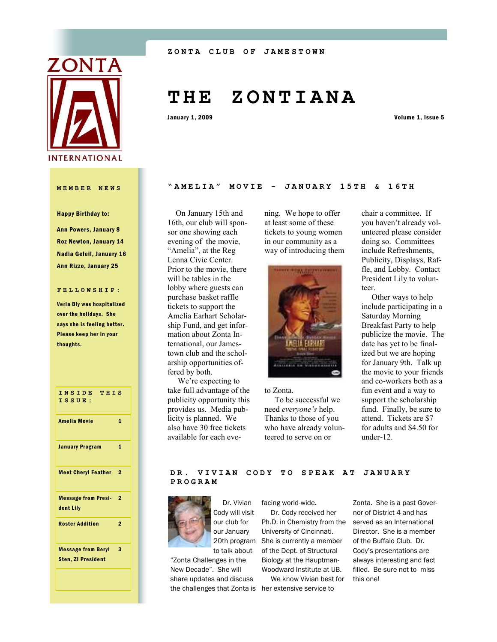

#### Happy Birthday to:

Ann Powers, January 8 Roz Newton, January 14 Nadia Geleil, January 16 Ann Rizzo, January 25

#### **FELLOWSHIP:**

Verla Bly was hospitalized over the holidays. She says she is feeling better. Please keep her in your thoughts.

**INSIDE THIS ISSUE:** Amelia Movie 1 **January Program 1** Meet Cheryl Feather 2 Message from Presi-2 dent Lily Roster Addition 2 Message from Beryl 3 Sten, ZI President

# **T H E Z O N T I A N A**

January 1, 2009 Volume 1, Issue 5

#### **MEMBER NEWS "AMELIA" MOVIE - JAN U A R Y 1 5 T H & 1 6 T H**

 On January 15th and 16th, our club will sponsor one showing each evening of the movie, "Amelia", at the Reg Lenna Civic Center. Prior to the movie, there will be tables in the lobby where guests can purchase basket raffle tickets to support the Amelia Earhart Scholarship Fund, and get information about Zonta International, our Jamestown club and the scholarship opportunities offered by both.

 We're expecting to take full advantage of the publicity opportunity this provides us. Media publicity is planned. We also have 30 free tickets available for each evening. We hope to offer at least some of these tickets to young women in our community as a way of introducing them



to Zonta. To be successful we need *everyone's* help. Thanks to those of you who have already volunteered to serve on or

chair a committee. If you haven't already volunteered please consider doing so. Committees include Refreshments, Publicity, Displays, Raffle, and Lobby. Contact President Lily to volunteer.

 Other ways to help include participating in a Saturday Morning Breakfast Party to help publicize the movie. The date has yet to be finalized but we are hoping for January 9th. Talk up the movie to your friends and co-workers both as a fun event and a way to support the scholarship fund. Finally, be sure to attend. Tickets are \$7 for adults and \$4.50 for under-12.

#### **DR. VIVIAN CODY TO SPEAK AT JANUARY PROGRAM**



 Dr. Vivian Cody will visit our club for our January to talk about

"Zonta Challenges in the New Decade". She will share updates and discuss the challenges that Zonta is her extensive service to

facing world-wide.

20th program She is currently a member Dr. Cody received her Ph.D. in Chemistry from the University of Cincinnati. of the Dept. of Structural Biology at the Hauptman-Woodward Institute at UB.

We know Vivian best for

Zonta. She is a past Governor of District 4 and has served as an International Director. She is a member of the Buffalo Club. Dr. Cody's presentations are always interesting and fact filled. Be sure not to miss this one!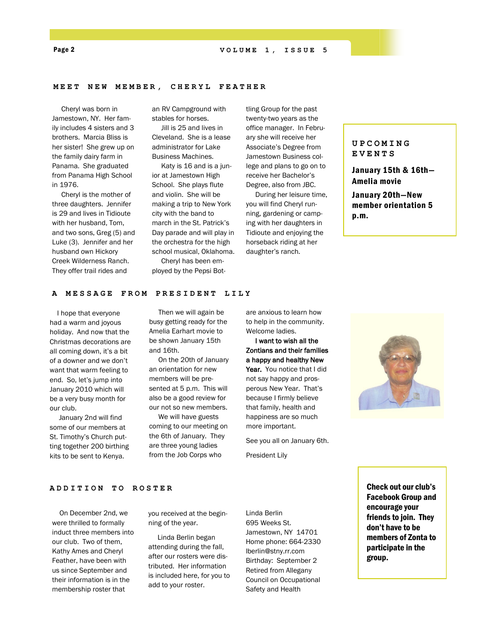Page 2 **VOLUME 1, ISSUE 5**

#### **MEET NEW MEMBER, CHE R Y L F E A T H E R**

 Cheryl was born in Jamestown, NY. Her family includes 4 sisters and 3 brothers. Marcia Bliss is her sister! She grew up on the family dairy farm in Panama. She graduated from Panama High School in 1976.

 Cheryl is the mother of three daughters. Jennifer is 29 and lives in Tidioute with her husband, Tom, and two sons, Greg (5) and Luke (3). Jennifer and her husband own Hickory Creek Wilderness Ranch. They offer trail rides and

an RV Campground with stables for horses.

 Jill is 25 and lives in Cleveland. She is a lease administrator for Lake Business Machines.

 Katy is 16 and is a junior at Jamestown High School. She plays flute and violin. She will be making a trip to New York city with the band to march in the St. Patrick's Day parade and will play in the orchestra for the high school musical, Oklahoma.

 Cheryl has been employed by the Pepsi Bot-

tling Group for the past twenty-two years as the office manager. In February she will receive her Associate's Degree from Jamestown Business college and plans to go on to receive her Bachelor's Degree, also from JBC.

 During her leisure time, you will find Cheryl running, gardening or camping with her daughters in Tidioute and enjoying the horseback riding at her daughter's ranch.

#### **UPCOMING EVENTS**

January 15th & 16th— Amelia movie

January 20th—New member orientation 5 p.m.

#### **A MESSAGE FROM PRESIDENT LILY**

 I hope that everyone had a warm and joyous holiday. And now that the Christmas decorations are all coming down, it's a bit of a downer and we don't want that warm feeling to end. So, let's jump into January 2010 which will be a very busy month for our club.

 January 2nd will find some of our members at St. Timothy's Church putting together 200 birthing kits to be sent to Kenya.

 Then we will again be busy getting ready for the Amelia Earhart movie to be shown January 15th and 16th.

 On the 20th of January an orientation for new members will be presented at 5 p.m. This will also be a good review for our not so new members.

 We will have guests coming to our meeting on the 6th of January. They are three young ladies from the Job Corps who

are anxious to learn how to help in the community. Welcome ladies.

 I want to wish all the Zontians and their families a happy and healthy New Year. You notice that I did not say happy and prosperous New Year. That's because I firmly believe that family, health and happiness are so much more important.

See you all on January 6th.

President Lily



#### **ADDITION TO ROSTER**

 On December 2nd, we were thrilled to formally induct three members into our club. Two of them, Kathy Ames and Cheryl Feather, have been with us since September and their information is in the membership roster that

you received at the beginning of the year.

 Linda Berlin began attending during the fall, after our rosters were distributed. Her information is included here, for you to add to your roster.

Linda Berlin 695 Weeks St. Jamestown, NY 14701 Home phone: 664-2330 lberlin@stny.rr.com Birthday: September 2 Retired from Allegany Council on Occupational Safety and Health

Check out our club's Facebook Group and encourage your friends to join. They don't have to be members of Zonta to participate in the group.